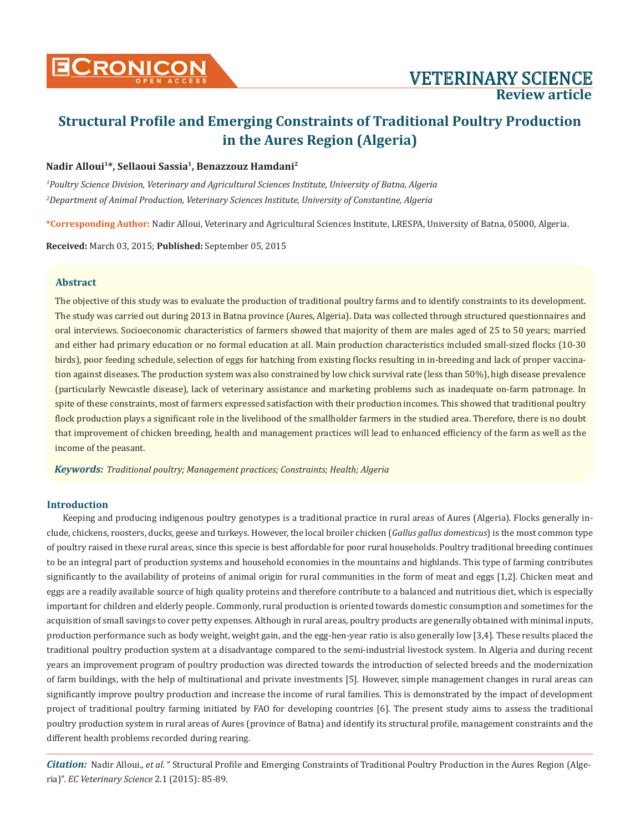# **Structural Profile and Emerging Constraints of Traditional Poultry Production in the Aures Region (Algeria)**

### **Nadir Alloui1\*, Sellaoui Sassia1, Benazzouz Hamdani2**

*1 Poultry Science Division, Veterinary and Agricultural Sciences Institute, University of Batna, Algeria 2 Department of Animal Production, Veterinary Sciences Institute, University of Constantine, Algeria*

**\*Corresponding Author:** Nadir Alloui, Veterinary and Agricultural Sciences Institute, LRESPA, University of Batna, 05000, Algeria.

**Received:** March 03, 2015; **Published:** September 05, 2015

### **Abstract**

The objective of this study was to evaluate the production of traditional poultry farms and to identify constraints to its development. The study was carried out during 2013 in Batna province (Aures, Algeria). Data was collected through structured questionnaires and oral interviews. Socioeconomic characteristics of farmers showed that majority of them are males aged of 25 to 50 years; married and either had primary education or no formal education at all. Main production characteristics included small-sized flocks (10-30 birds), poor feeding schedule, selection of eggs for hatching from existing flocks resulting in in-breeding and lack of proper vaccination against diseases. The production system was also constrained by low chick survival rate (less than 50%), high disease prevalence (particularly Newcastle disease), lack of veterinary assistance and marketing problems such as inadequate on-farm patronage. In spite of these constraints, most of farmers expressed satisfaction with their production incomes. This showed that traditional poultry flock production plays a significant role in the livelihood of the smallholder farmers in the studied area. Therefore, there is no doubt that improvement of chicken breeding, health and management practices will lead to enhanced efficiency of the farm as well as the income of the peasant.

*Keywords: Traditional poultry; Management practices; Constraints; Health; Algeria*

### **Introduction**

Keeping and producing indigenous poultry genotypes is a traditional practice in rural areas of Aures (Algeria). Flocks generally include, chickens, roosters, ducks, geese and turkeys. However, the local broiler chicken (*Gallus gallus domesticus*) is the most common type of poultry raised in these rural areas, since this specie is best affordable for poor rural households. Poultry traditional breeding continues to be an integral part of production systems and household economies in the mountains and highlands. This type of farming contributes significantly to the availability of proteins of animal origin for rural communities in the form of meat and eggs [1,2]. Chicken meat and eggs are a readily available source of high quality proteins and therefore contribute to a balanced and nutritious diet, which is especially important for children and elderly people. Commonly, rural production is oriented towards domestic consumption and sometimes for the acquisition of small savings to cover petty expenses. Although in rural areas, poultry products are generally obtained with minimal inputs, production performance such as body weight, weight gain, and the egg-hen-year ratio is also generally low [3,4]. These results placed the traditional poultry production system at a disadvantage compared to the semi-industrial livestock system. In Algeria and during recent years an improvement program of poultry production was directed towards the introduction of selected breeds and the modernization of farm buildings, with the help of multinational and private investments [5]. However, simple management changes in rural areas can significantly improve poultry production and increase the income of rural families. This is demonstrated by the impact of development project of traditional poultry farming initiated by FAO for developing countries [6]. The present study aims to assess the traditional poultry production system in rural areas of Aures (province of Batna) and identify its structural profile, management constraints and the different health problems recorded during rearing.

*Citation:* Nadir Alloui., *et al*. " Structural Profile and Emerging Constraints of Traditional Poultry Production in the Aures Region (Algeria)". *EC Veterinary Science* 2.1 (2015): 85-89.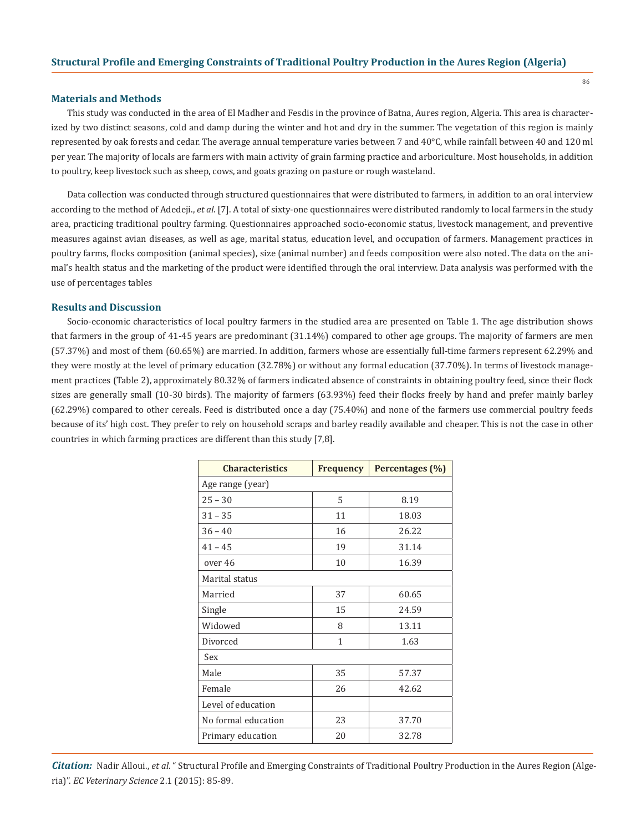### **Materials and Methods**

This study was conducted in the area of El Madher and Fesdis in the province of Batna, Aures region, Algeria. This area is characterized by two distinct seasons, cold and damp during the winter and hot and dry in the summer. The vegetation of this region is mainly represented by oak forests and cedar. The average annual temperature varies between 7 and 40°C, while rainfall between 40 and 120 ml per year. The majority of locals are farmers with main activity of grain farming practice and arboriculture. Most households, in addition to poultry, keep livestock such as sheep, cows, and goats grazing on pasture or rough wasteland.

Data collection was conducted through structured questionnaires that were distributed to farmers, in addition to an oral interview according to the method of Adedeji., *et al*. [7]. A total of sixty-one questionnaires were distributed randomly to local farmers in the study area, practicing traditional poultry farming. Questionnaires approached socio-economic status, livestock management, and preventive measures against avian diseases, as well as age, marital status, education level, and occupation of farmers. Management practices in poultry farms, flocks composition (animal species), size (animal number) and feeds composition were also noted. The data on the animal's health status and the marketing of the product were identified through the oral interview. Data analysis was performed with the use of percentages tables

#### **Results and Discussion**

Socio-economic characteristics of local poultry farmers in the studied area are presented on Table 1. The age distribution shows that farmers in the group of 41-45 years are predominant (31.14%) compared to other age groups. The majority of farmers are men (57.37%) and most of them (60.65%) are married. In addition, farmers whose are essentially full-time farmers represent 62.29% and they were mostly at the level of primary education (32.78%) or without any formal education (37.70%). In terms of livestock management practices (Table 2), approximately 80.32% of farmers indicated absence of constraints in obtaining poultry feed, since their flock sizes are generally small (10-30 birds). The majority of farmers (63.93%) feed their flocks freely by hand and prefer mainly barley (62.29%) compared to other cereals. Feed is distributed once a day (75.40%) and none of the farmers use commercial poultry feeds because of its' high cost. They prefer to rely on household scraps and barley readily available and cheaper. This is not the case in other countries in which farming practices are different than this study [7,8].

| <b>Characteristics</b> | <b>Frequency</b> | Percentages (%) |  |  |
|------------------------|------------------|-----------------|--|--|
| Age range (year)       |                  |                 |  |  |
| $25 - 30$              | 5                | 8.19            |  |  |
| $31 - 35$              | 11               | 18.03           |  |  |
| $36 - 40$              | 16               | 26.22           |  |  |
| $41 - 45$              | 19               | 31.14           |  |  |
| over 46                | 10               | 16.39           |  |  |
| Marital status         |                  |                 |  |  |
| Married                | 37               | 60.65           |  |  |
| Single                 | 15               | 24.59           |  |  |
| Widowed                | 8                | 13.11           |  |  |
| Divorced               | $\mathbf{1}$     | 1.63            |  |  |
| Sex                    |                  |                 |  |  |
| Male                   | 35               | 57.37           |  |  |
| Female                 | 26               | 42.62           |  |  |
| Level of education     |                  |                 |  |  |
| No formal education    | 23               | 37.70           |  |  |
| Primary education      | 20               | 32.78           |  |  |

*Citation:* Nadir Alloui., *et al*. " Structural Profile and Emerging Constraints of Traditional Poultry Production in the Aures Region (Algeria)". *EC Veterinary Science* 2.1 (2015): 85-89.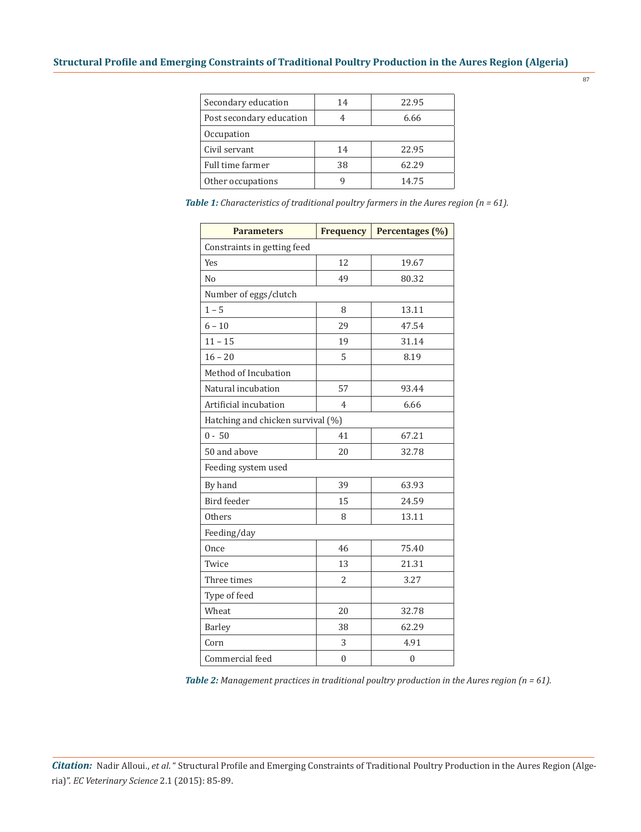| Secondary education      | 14 | 22.95 |  |
|--------------------------|----|-------|--|
| Post secondary education |    | 6.66  |  |
| Occupation               |    |       |  |
| Civil servant            | 14 | 22.95 |  |
| Full time farmer         | 38 | 62.29 |  |
| Other occupations        | q  | 14.75 |  |
|                          |    |       |  |

*Table 1: Characteristics of traditional poultry farmers in the Aures region (n = 61).*

87

| <b>Parameters</b>                 | <b>Frequency</b> | Percentages (%) |  |
|-----------------------------------|------------------|-----------------|--|
| Constraints in getting feed       |                  |                 |  |
| <b>Yes</b>                        | 12               | 19.67           |  |
| N <sub>0</sub>                    | 49               | 80.32           |  |
| Number of eggs/clutch             |                  |                 |  |
| $1 - 5$                           | 8                | 13.11           |  |
| $6 - 10$                          | 29               | 47.54           |  |
| $11 - 15$                         | 19               | 31.14           |  |
| $16 - 20$                         | 5                | 8.19            |  |
| Method of Incubation              |                  |                 |  |
| Natural incubation                | 57               | 93.44           |  |
| Artificial incubation             | 4                | 6.66            |  |
| Hatching and chicken survival (%) |                  |                 |  |
| $0 - 50$                          | 41               | 67.21           |  |
| 50 and above                      | 20               | 32.78           |  |
| Feeding system used               |                  |                 |  |
| By hand                           | 39               | 63.93           |  |
| Bird feeder                       | 15               | 24.59           |  |
| <b>Others</b>                     | 8                | 13.11           |  |
| Feeding/day                       |                  |                 |  |
| Once                              | 46               | 75.40           |  |
| Twice                             | 13               | 21.31           |  |
| Three times                       | 2                | 3.27            |  |
| Type of feed                      |                  |                 |  |
| Wheat                             | 20               | 32.78           |  |
| <b>Barley</b>                     | 38               | 62.29           |  |
| Corn                              | 3                | 4.91            |  |
| Commercial feed                   | $\overline{0}$   | $\overline{0}$  |  |

*Table 2: Management practices in traditional poultry production in the Aures region (n = 61).*

*Citation:* Nadir Alloui., *et al*. " Structural Profile and Emerging Constraints of Traditional Poultry Production in the Aures Region (Algeria)". *EC Veterinary Science* 2.1 (2015): 85-89.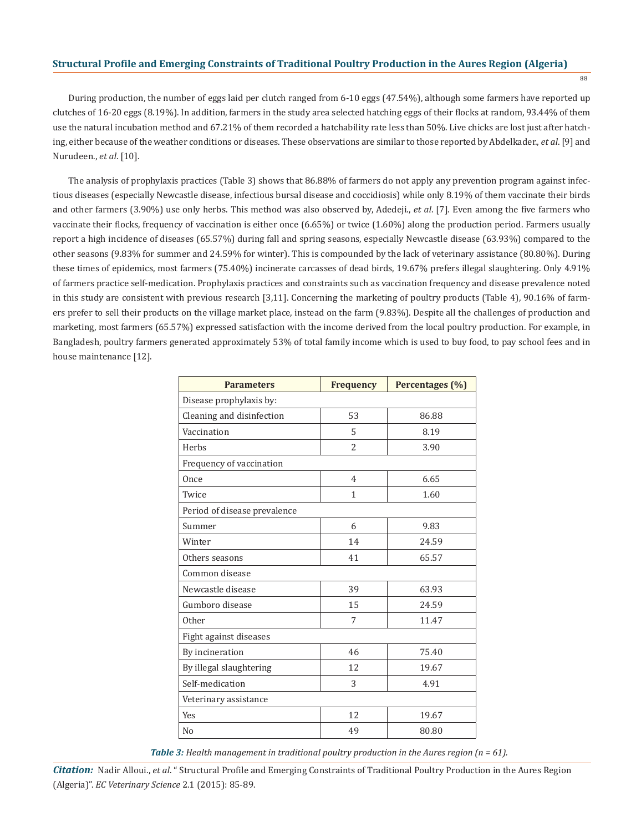### **Structural Profile and Emerging Constraints of Traditional Poultry Production in the Aures Region (Algeria)**

88

During production, the number of eggs laid per clutch ranged from 6-10 eggs (47.54%), although some farmers have reported up clutches of 16-20 eggs (8.19%). In addition, farmers in the study area selected hatching eggs of their flocks at random, 93.44% of them use the natural incubation method and 67.21% of them recorded a hatchability rate less than 50%. Live chicks are lost just after hatching, either because of the weather conditions or diseases. These observations are similar to those reported by Abdelkader., *et al*. [9] and Nurudeen., *et al*. [10].

The analysis of prophylaxis practices (Table 3) shows that 86.88% of farmers do not apply any prevention program against infectious diseases (especially Newcastle disease, infectious bursal disease and coccidiosis) while only 8.19% of them vaccinate their birds and other farmers (3.90%) use only herbs. This method was also observed by, Adedeji., *et al*. [7]. Even among the five farmers who vaccinate their flocks, frequency of vaccination is either once (6.65%) or twice (1.60%) along the production period. Farmers usually report a high incidence of diseases (65.57%) during fall and spring seasons, especially Newcastle disease (63.93%) compared to the other seasons (9.83% for summer and 24.59% for winter). This is compounded by the lack of veterinary assistance (80.80%). During these times of epidemics, most farmers (75.40%) incinerate carcasses of dead birds, 19.67% prefers illegal slaughtering. Only 4.91% of farmers practice self-medication. Prophylaxis practices and constraints such as vaccination frequency and disease prevalence noted in this study are consistent with previous research [3,11]. Concerning the marketing of poultry products (Table 4), 90.16% of farmers prefer to sell their products on the village market place, instead on the farm (9.83%). Despite all the challenges of production and marketing, most farmers (65.57%) expressed satisfaction with the income derived from the local poultry production. For example, in Bangladesh, poultry farmers generated approximately 53% of total family income which is used to buy food, to pay school fees and in house maintenance [12].

| <b>Parameters</b>            | <b>Frequency</b> | Percentages (%) |  |
|------------------------------|------------------|-----------------|--|
| Disease prophylaxis by:      |                  |                 |  |
| Cleaning and disinfection    | 53               | 86.88           |  |
| Vaccination                  | 5                | 8.19            |  |
| Herbs                        | 2                | 3.90            |  |
| Frequency of vaccination     |                  |                 |  |
| Once                         | 4                | 6.65            |  |
| Twice                        | $\mathbf{1}$     | 1.60            |  |
| Period of disease prevalence |                  |                 |  |
| Summer                       | 6                | 9.83            |  |
| Winter                       | 14               | 24.59           |  |
| Others seasons               | 41               | 65.57           |  |
| Common disease               |                  |                 |  |
| Newcastle disease            | 39               | 63.93           |  |
| Gumboro disease              | 15               | 24.59           |  |
| Other                        | 7                | 11.47           |  |
| Fight against diseases       |                  |                 |  |
| By incineration              | 46               | 75.40           |  |
| By illegal slaughtering      | 12               | 19.67           |  |
| Self-medication              | 3                | 4.91            |  |
| Veterinary assistance        |                  |                 |  |
| <b>Yes</b>                   | 12               | 19.67           |  |
| N <sub>o</sub>               | 49               | 80.80           |  |

*Table 3: Health management in traditional poultry production in the Aures region (n = 61).*

*Citation:* Nadir Alloui., *et al*. " Structural Profile and Emerging Constraints of Traditional Poultry Production in the Aures Region (Algeria)". *EC Veterinary Science* 2.1 (2015): 85-89.